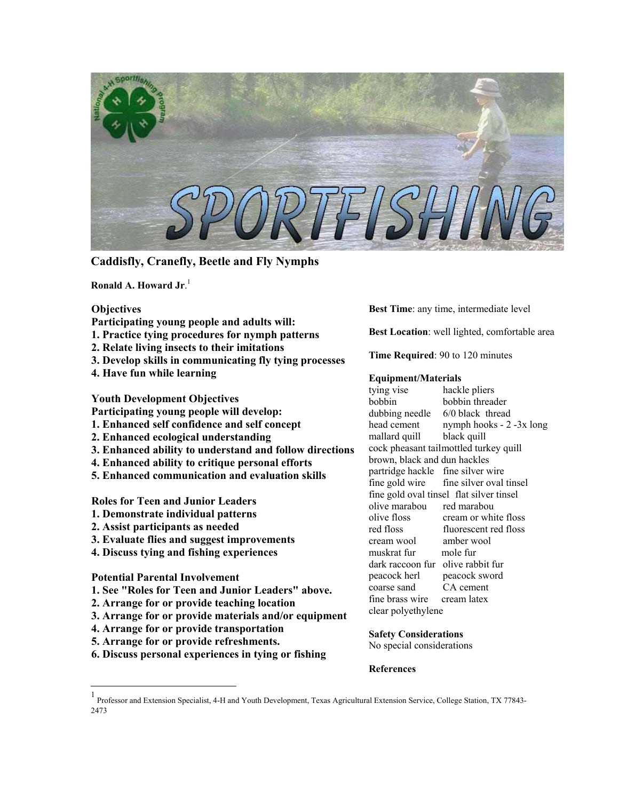

**Caddisfly, Cranefly, Beetle and Fly Nymphs**

**Ronald A. Howard Jr**. [1](#page-0-0)

## **Objectives**

**Participating young people and adults will:** 

- **1. Practice tying procedures for nymph patterns**
- **2. Relate living insects to their imitations**
- **3. Develop skills in communicating fly tying processes**
- **4. Have fun while learning**

**Youth Development Objectives** 

- **Participating young people will develop:**
- **1. Enhanced self confidence and self concept**
- **2. Enhanced ecological understanding**
- **3. Enhanced ability to understand and follow directions**
- **4. Enhanced ability to critique personal efforts**
- **5. Enhanced communication and evaluation skills**

**Roles for Teen and Junior Leaders** 

- **1. Demonstrate individual patterns**
- **2. Assist participants as needed**
- **3. Evaluate flies and suggest improvements**
- **4. Discuss tying and fishing experiences**

# **Potential Parental Involvement**

- **1. See "Roles for Teen and Junior Leaders" above.**
- **2. Arrange for or provide teaching location**
- **3. Arrange for or provide materials and/or equipment**
- **4. Arrange for or provide transportation**
- **5. Arrange for or provide refreshments.**
- **6. Discuss personal experiences in tying or fishing**

**Best Time**: any time, intermediate level

**Best Location**: well lighted, comfortable area

**Time Required**: 90 to 120 minutes

### **Equipment/Materials**

tying vise hackle pliers bobbin bobbin threader dubbing needle 6/0 black thread head cement nymph hooks - 2 -3x long mallard quill black quill cock pheasant tailmottled turkey quill brown, black and dun hackles partridge hackle fine silver wire fine gold wire fine silver oval tinsel fine gold oval tinsel flat silver tinsel olive marabou red marabou olive floss cream or white floss red floss fluorescent red floss cream wool amber wool muskrat fur mole fur dark raccoon fur olive rabbit fur peacock herl peacock sword coarse sand CA cement fine brass wire cream latex clear polyethylene

## **Safety Considerations**

No special considerations

**References**

<span id="page-0-0"></span><sup>1&</sup>lt;br>Professor and Extension Specialist, 4-H and Youth Development, Texas Agricultural Extension Service, College Station, TX 77843-2473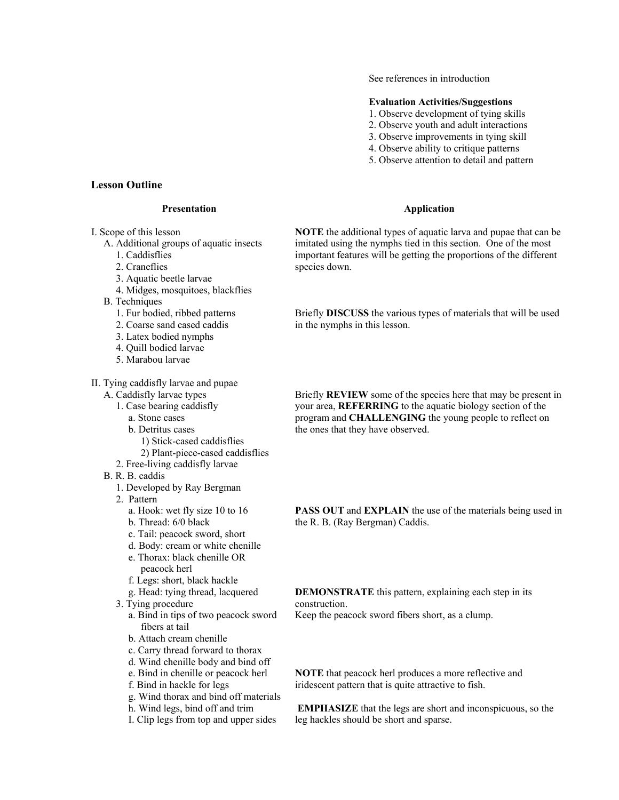See references in introduction

### **Evaluation Activities/Suggestions**

- 1. Observe development of tying skills
- 2. Observe youth and adult interactions
- 3. Observe improvements in tying skill
- 4. Observe ability to critique patterns
- 5. Observe attention to detail and pattern

### **Application**

**NOTE** the additional types of aquatic larva and pupae that can be imitated using the nymphs tied in this section. One of the most important features will be getting the proportions of the different species down.

Briefly **DISCUSS** the various types of materials that will be used in the nymphs in this lesson.

Briefly **REVIEW** some of the species here that may be present in your area, **REFERRING** to the aquatic biology section of the program and **CHALLENGING** the young people to reflect on the ones that they have observed.

**PASS OUT** and **EXPLAIN** the use of the materials being used in the R. B. (Ray Bergman) Caddis.

**DEMONSTRATE** this pattern, explaining each step in its construction.

Keep the peacock sword fibers short, as a clump.

**NOTE** that peacock herl produces a more reflective and iridescent pattern that is quite attractive to fish.

 **EMPHASIZE** that the legs are short and inconspicuous, so the leg hackles should be short and sparse.

# **Lesson Outline**

## **Presentation**

I. Scope of this lesson

## A. Additional groups of aquatic insects

- 1. Caddisflies
- 2. Craneflies
- 3. Aquatic beetle larvae
- 4. Midges, mosquitoes, blackflies
- B. Techniques
	- 1. Fur bodied, ribbed patterns
	- 2. Coarse sand cased caddis
	- 3. Latex bodied nymphs
	- 4. Quill bodied larvae
	- 5. Marabou larvae

## II. Tying caddisfly larvae and pupae

- A. Caddisfly larvae types
	- 1. Case bearing caddisfly
		- a. Stone cases
		- b. Detritus cases
			- 1) Stick-cased caddisflies
			- 2) Plant-piece-cased caddisflies
	- 2. Free-living caddisfly larvae
- B. R. B. caddis
	- 1. Developed by Ray Bergman
	- 2. Pattern
		- a. Hook: wet fly size 10 to 16
		- b. Thread: 6/0 black
		- c. Tail: peacock sword, short
		- d. Body: cream or white chenille e. Thorax: black chenille OR
		- peacock herl
		- f. Legs: short, black hackle
		- g. Head: tying thread, lacquered
	- 3. Tying procedure
		- a. Bind in tips of two peacock sword fibers at tail
		- b. Attach cream chenille
		- c. Carry thread forward to thorax
		- d. Wind chenille body and bind off
		- e. Bind in chenille or peacock herl
		- f. Bind in hackle for legs
		- g. Wind thorax and bind off materials
		- h. Wind legs, bind off and trim
		- I. Clip legs from top and upper sides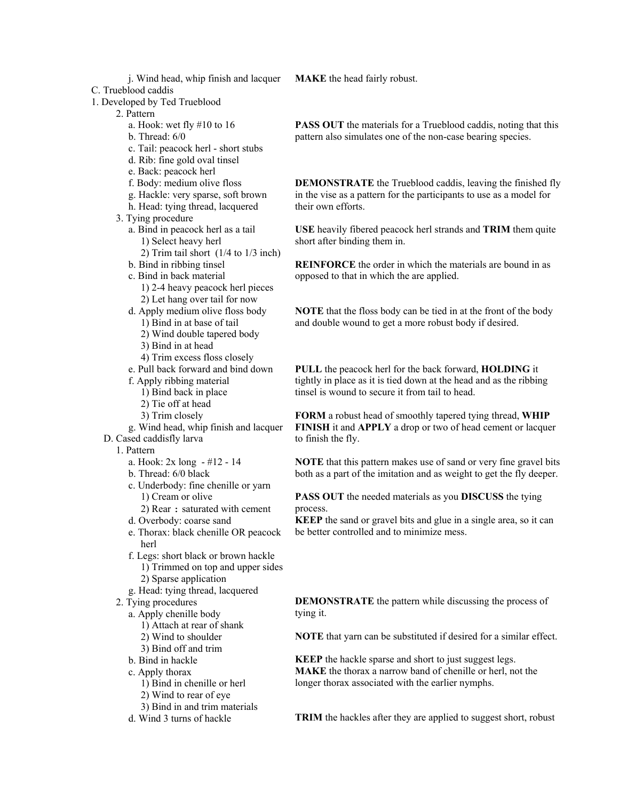- j. Wind head, whip finish and lacquer
- C. Trueblood caddis
- 1. Developed by Ted Trueblood

2. Pattern

- a. Hook: wet fly #10 to 16
- b. Thread: 6/0
- c. Tail: peacock herl short stubs
- d. Rib: fine gold oval tinsel
- e. Back: peacock herl
- f. Body: medium olive floss
- g. Hackle: very sparse, soft brown
- h. Head: tying thread, lacquered
- 3. Tying procedure
	- a. Bind in peacock herl as a tail 1) Select heavy herl
		- 2) Trim tail short (1/4 to 1/3 inch)
	- b. Bind in ribbing tinsel
	- c. Bind in back material
		- 1) 2-4 heavy peacock herl pieces 2) Let hang over tail for now
	- d. Apply medium olive floss body 1) Bind in at base of tail
		- 2) Wind double tapered body
		- 3) Bind in at head
		- 4) Trim excess floss closely
	- e. Pull back forward and bind down
	- f. Apply ribbing material
		- 1) Bind back in place
		- 2) Tie off at head
		- 3) Trim closely
- g. Wind head, whip finish and lacquer
- D. Cased caddisfly larva
	- 1. Pattern
		- a. Hook: 2x long #12 14
		- b. Thread: 6/0 black
		- c. Underbody: fine chenille or yarn 1) Cream or olive
			- 2) Rear : saturated with cement
		- d. Overbody: coarse sand
		- e. Thorax: black chenille OR peacock herl
		- f. Legs: short black or brown hackle 1) Trimmed on top and upper sides 2) Sparse application
		- g. Head: tying thread, lacquered
	- 2. Tying procedures
		- a. Apply chenille body
			- 1) Attach at rear of shank
			- 2) Wind to shoulder
			- 3) Bind off and trim
		- b. Bind in hackle
		- c. Apply thorax
			- 1) Bind in chenille or herl
			- 2) Wind to rear of eye
			- 3) Bind in and trim materials
		- d. Wind 3 turns of hackle

**MAKE** the head fairly robust.

**PASS OUT** the materials for a Trueblood caddis, noting that this pattern also simulates one of the non-case bearing species.

**DEMONSTRATE** the Trueblood caddis, leaving the finished fly in the vise as a pattern for the participants to use as a model for their own efforts.

**USE** heavily fibered peacock herl strands and **TRIM** them quite short after binding them in.

**REINFORCE** the order in which the materials are bound in as opposed to that in which the are applied.

**NOTE** that the floss body can be tied in at the front of the body and double wound to get a more robust body if desired.

**PULL** the peacock herl for the back forward, **HOLDING** it tightly in place as it is tied down at the head and as the ribbing tinsel is wound to secure it from tail to head.

**FORM** a robust head of smoothly tapered tying thread, **WHIP FINISH** it and **APPLY** a drop or two of head cement or lacquer to finish the fly.

**NOTE** that this pattern makes use of sand or very fine gravel bits both as a part of the imitation and as weight to get the fly deeper.

**PASS OUT** the needed materials as you **DISCUSS** the tying process.

**KEEP** the sand or gravel bits and glue in a single area, so it can be better controlled and to minimize mess.

**DEMONSTRATE** the pattern while discussing the process of tying it.

**NOTE** that yarn can be substituted if desired for a similar effect.

**KEEP** the hackle sparse and short to just suggest legs. **MAKE** the thorax a narrow band of chenille or herl, not the longer thorax associated with the earlier nymphs.

**TRIM** the hackles after they are applied to suggest short, robust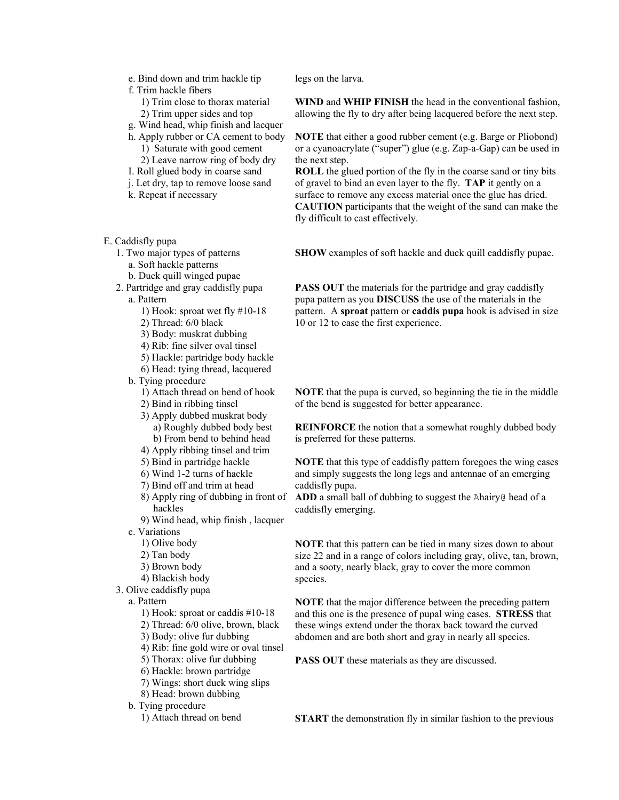- e. Bind down and trim hackle tip
- f. Trim hackle fibers
	- 1) Trim close to thorax material
	- 2) Trim upper sides and top
- g. Wind head, whip finish and lacquer h. Apply rubber or CA cement to body 1) Saturate with good cement
	- 2) Leave narrow ring of body dry
- I. Roll glued body in coarse sand
- j. Let dry, tap to remove loose sand
- k. Repeat if necessary
- E. Caddisfly pupa
	- 1. Two major types of patterns
		- a. Soft hackle patterns
		- b. Duck quill winged pupae
	- 2. Partridge and gray caddisfly pupa a. Pattern
		- 1) Hook: sproat wet fly #10-18
		- 2) Thread: 6/0 black
		- 3) Body: muskrat dubbing
		- 4) Rib: fine silver oval tinsel
		- 5) Hackle: partridge body hackle
		- 6) Head: tying thread, lacquered
		- b. Tying procedure
			- 1) Attach thread on bend of hook
			- 2) Bind in ribbing tinsel
			- 3) Apply dubbed muskrat body a) Roughly dubbed body best b) From bend to behind head
			- 4) Apply ribbing tinsel and trim
			- 5) Bind in partridge hackle
			- 6) Wind 1-2 turns of hackle
			- 7) Bind off and trim at head
			- 8) Apply ring of dubbing in front of hackles
			- 9) Wind head, whip finish , lacquer
		- c. Variations
			- 1) Olive body
			- 2) Tan body
			- 3) Brown body
			- 4) Blackish body
	- 3. Olive caddisfly pupa

a. Pattern

- 1) Hook: sproat or caddis #10-18
- 2) Thread: 6/0 olive, brown, black
- 3) Body: olive fur dubbing
- 4) Rib: fine gold wire or oval tinsel
- 5) Thorax: olive fur dubbing
- 6) Hackle: brown partridge
- 7) Wings: short duck wing slips
- 8) Head: brown dubbing
- b. Tying procedure
	- 1) Attach thread on bend

legs on the larva.

**WIND** and **WHIP FINISH** the head in the conventional fashion, allowing the fly to dry after being lacquered before the next step.

**NOTE** that either a good rubber cement (e.g. Barge or Pliobond) or a cyanoacrylate ("super") glue (e.g. Zap-a-Gap) can be used in the next step.

**ROLL** the glued portion of the fly in the coarse sand or tiny bits of gravel to bind an even layer to the fly. **TAP** it gently on a surface to remove any excess material once the glue has dried. **CAUTION** participants that the weight of the sand can make the fly difficult to cast effectively.

**SHOW** examples of soft hackle and duck quill caddisfly pupae.

**PASS OUT** the materials for the partridge and gray caddisfly pupa pattern as you **DISCUSS** the use of the materials in the pattern. A **sproat** pattern or **caddis pupa** hook is advised in size 10 or 12 to ease the first experience.

**NOTE** that the pupa is curved, so beginning the tie in the middle of the bend is suggested for better appearance.

**REINFORCE** the notion that a somewhat roughly dubbed body is preferred for these patterns.

**NOTE** that this type of caddisfly pattern foregoes the wing cases and simply suggests the long legs and antennae of an emerging caddisfly pupa.

ADD a small ball of dubbing to suggest the Ahairy@ head of a caddisfly emerging.

**NOTE** that this pattern can be tied in many sizes down to about size 22 and in a range of colors including gray, olive, tan, brown, and a sooty, nearly black, gray to cover the more common species.

**NOTE** that the major difference between the preceding pattern and this one is the presence of pupal wing cases. **STRESS** that these wings extend under the thorax back toward the curved abdomen and are both short and gray in nearly all species.

**PASS OUT** these materials as they are discussed.

**START** the demonstration fly in similar fashion to the previous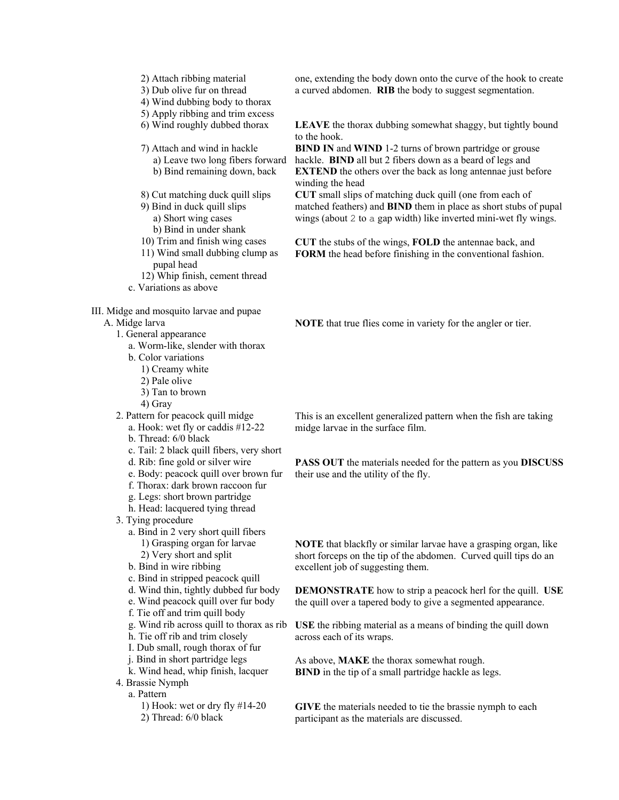- 2) Attach ribbing material
- 3) Dub olive fur on thread
- 4) Wind dubbing body to thorax
- 5) Apply ribbing and trim excess
- 6) Wind roughly dubbed thorax
- 7) Attach and wind in hackle
	- a) Leave two long fibers forward b) Bind remaining down, back
- 8) Cut matching duck quill slips
- 9) Bind in duck quill slips
	- a) Short wing cases
	- b) Bind in under shank
- 10) Trim and finish wing cases
- 11) Wind small dubbing clump as pupal head
- 12) Whip finish, cement thread
- c. Variations as above

III. Midge and mosquito larvae and pupae

### A. Midge larva

- 1. General appearance
	- a. Worm-like, slender with thorax
	- b. Color variations
		- 1) Creamy white
		- 2) Pale olive
		- 3) Tan to brown
		- 4) Gray
- 2. Pattern for peacock quill midge
	- a. Hook: wet fly or caddis #12-22 b. Thread: 6/0 black
	- c. Tail: 2 black quill fibers, very short
	- d. Rib: fine gold or silver wire
	-
	- e. Body: peacock quill over brown fur f. Thorax: dark brown raccoon fur
	- g. Legs: short brown partridge
	- h. Head: lacquered tying thread
- 3. Tying procedure
	- a. Bind in 2 very short quill fibers
		- 1) Grasping organ for larvae
		- 2) Very short and split
	- b. Bind in wire ribbing
	- c. Bind in stripped peacock quill
	- d. Wind thin, tightly dubbed fur body
	- e. Wind peacock quill over fur body
	- f. Tie off and trim quill body
	- g. Wind rib across quill to thorax as rib
	- h. Tie off rib and trim closely
	- I. Dub small, rough thorax of fur
	- j. Bind in short partridge legs
	- k. Wind head, whip finish, lacquer
- 4. Brassie Nymph a. Pattern
	- 1) Hook: wet or dry fly #14-20
	- 2) Thread: 6/0 black

one, extending the body down onto the curve of the hook to create a curved abdomen. **RIB** the body to suggest segmentation.

**LEAVE** the thorax dubbing somewhat shaggy, but tightly bound to the hook.

**BIND IN** and **WIND** 1-2 turns of brown partridge or grouse hackle. **BIND** all but 2 fibers down as a beard of legs and **EXTEND** the others over the back as long antennae just before winding the head

**CUT** small slips of matching duck quill (one from each of matched feathers) and **BIND** them in place as short stubs of pupal wings (about 2 to a gap width) like inverted mini-wet fly wings.

**CUT** the stubs of the wings, **FOLD** the antennae back, and **FORM** the head before finishing in the conventional fashion.

**NOTE** that true flies come in variety for the angler or tier.

This is an excellent generalized pattern when the fish are taking midge larvae in the surface film.

**PASS OUT** the materials needed for the pattern as you **DISCUSS** their use and the utility of the fly.

**NOTE** that blackfly or similar larvae have a grasping organ, like short forceps on the tip of the abdomen. Curved quill tips do an excellent job of suggesting them.

**DEMONSTRATE** how to strip a peacock herl for the quill. **USE** the quill over a tapered body to give a segmented appearance.

**USE** the ribbing material as a means of binding the quill down across each of its wraps.

As above, **MAKE** the thorax somewhat rough. **BIND** in the tip of a small partridge hackle as legs.

**GIVE** the materials needed to tie the brassie nymph to each participant as the materials are discussed.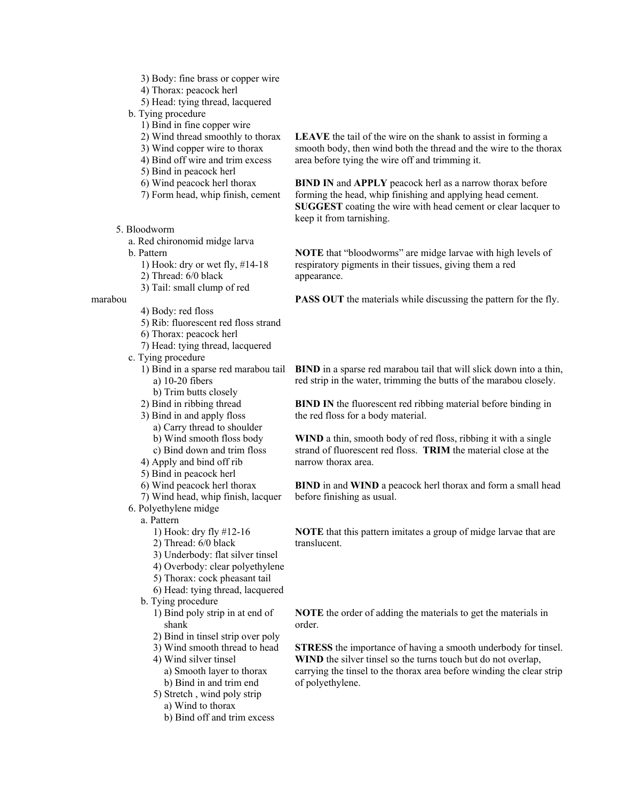- 3) Body: fine brass or copper wire
- 4) Thorax: peacock herl
- 5) Head: tying thread, lacquered
- b. Tying procedure
	- 1) Bind in fine copper wire
	- 2) Wind thread smoothly to thorax
	- 3) Wind copper wire to thorax
	- 4) Bind off wire and trim excess
	- 5) Bind in peacock herl
	- 6) Wind peacock herl thorax
	- 7) Form head, whip finish, cement
- 5. Bloodworm
	- a. Red chironomid midge larva
	- b. Pattern
		- 1) Hook: dry or wet fly, #14-18
		- 2) Thread: 6/0 black
		- 3) Tail: small clump of red
- marabou
	- 4) Body: red floss
		- 5) Rib: fluorescent red floss strand
		- 6) Thorax: peacock herl
		- 7) Head: tying thread, lacquered
	- c. Tying procedure
		- 1) Bind in a sparse red marabou tail a) 10-20 fibers
			- b) Trim butts closely
		- 2) Bind in ribbing thread
		- 3) Bind in and apply floss
			- a) Carry thread to shoulder
			- b) Wind smooth floss body
			- c) Bind down and trim floss
		- 4) Apply and bind off rib
		- 5) Bind in peacock herl
		- 6) Wind peacock herl thorax
		- 7) Wind head, whip finish, lacquer
	- 6. Polyethylene midge
		- a. Pattern
			- 1) Hook: dry fly #12-16
			- 2) Thread: 6/0 black
			- 3) Underbody: flat silver tinsel
			- 4) Overbody: clear polyethylene
			- 5) Thorax: cock pheasant tail
			- 6) Head: tying thread, lacquered
		- b. Tying procedure
			- 1) Bind poly strip in at end of shank
			- 2) Bind in tinsel strip over poly
			- 3) Wind smooth thread to head
			- 4) Wind silver tinsel
				- a) Smooth layer to thorax
				- b) Bind in and trim end
			- 5) Stretch , wind poly strip
				- a) Wind to thorax
				- b) Bind off and trim excess

**LEAVE** the tail of the wire on the shank to assist in forming a smooth body, then wind both the thread and the wire to the thorax area before tying the wire off and trimming it.

**BIND IN** and **APPLY** peacock herl as a narrow thorax before forming the head, whip finishing and applying head cement. **SUGGEST** coating the wire with head cement or clear lacquer to keep it from tarnishing.

**NOTE** that "bloodworms" are midge larvae with high levels of respiratory pigments in their tissues, giving them a red appearance.

**PASS OUT** the materials while discussing the pattern for the fly.

**BIND** in a sparse red marabou tail that will slick down into a thin, red strip in the water, trimming the butts of the marabou closely.

**BIND IN** the fluorescent red ribbing material before binding in the red floss for a body material.

**WIND** a thin, smooth body of red floss, ribbing it with a single strand of fluorescent red floss. **TRIM** the material close at the narrow thorax area.

**BIND** in and **WIND** a peacock herl thorax and form a small head before finishing as usual.

**NOTE** that this pattern imitates a group of midge larvae that are translucent.

**NOTE** the order of adding the materials to get the materials in order.

**STRESS** the importance of having a smooth underbody for tinsel. **WIND** the silver tinsel so the turns touch but do not overlap, carrying the tinsel to the thorax area before winding the clear strip of polyethylene.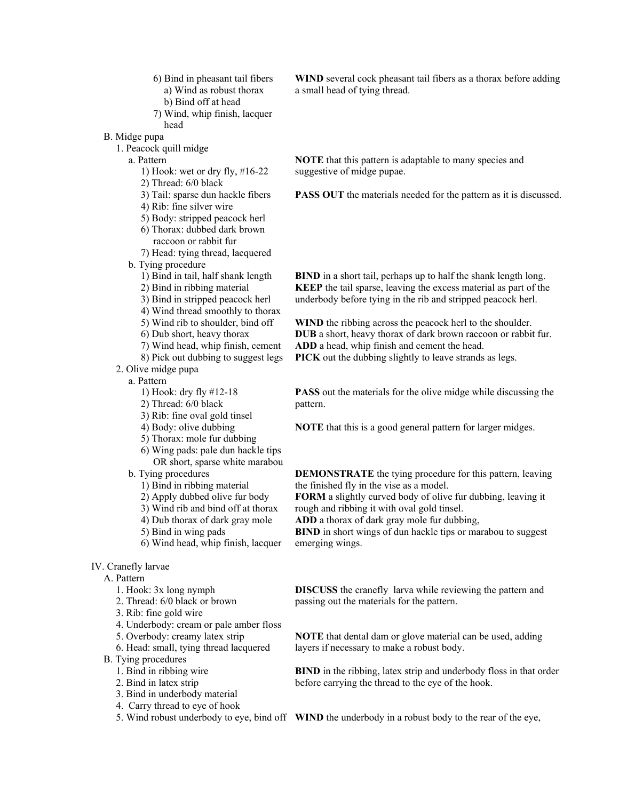- 6) Bind in pheasant tail fibers a) Wind as robust thorax b) Bind off at head
- 7) Wind, whip finish, lacquer head
- B. Midge pupa
	- 1. Peacock quill midge
		- a. Pattern
			- 1) Hook: wet or dry fly, #16-22
			- 2) Thread: 6/0 black
			- 3) Tail: sparse dun hackle fibers
			- 4) Rib: fine silver wire
			- 5) Body: stripped peacock herl
			- 6) Thorax: dubbed dark brown raccoon or rabbit fur
			- 7) Head: tying thread, lacquered
		- b. Tying procedure
			- 1) Bind in tail, half shank length
			- 2) Bind in ribbing material
			- 3) Bind in stripped peacock herl
			- 4) Wind thread smoothly to thorax
			- 5) Wind rib to shoulder, bind off
			- 6) Dub short, heavy thorax
			- 7) Wind head, whip finish, cement
			- 8) Pick out dubbing to suggest legs
	- 2. Olive midge pupa
		- a. Pattern
			- 1) Hook: dry fly #12-18
			- 2) Thread: 6/0 black
			- 3) Rib: fine oval gold tinsel
			- 4) Body: olive dubbing
			- 5) Thorax: mole fur dubbing
			- 6) Wing pads: pale dun hackle tips OR short, sparse white marabou
		- b. Tying procedures
			- 1) Bind in ribbing material
			- 2) Apply dubbed olive fur body
			- 3) Wind rib and bind off at thorax
			- 4) Dub thorax of dark gray mole
			- 5) Bind in wing pads
			- 6) Wind head, whip finish, lacquer

### IV. Cranefly larvae

#### A. Pattern

- 1. Hook: 3x long nymph
- 2. Thread: 6/0 black or brown
- 3. Rib: fine gold wire
- 4. Underbody: cream or pale amber floss
- 5. Overbody: creamy latex strip
- 6. Head: small, tying thread lacquered
- B. Tying procedures
	- 1. Bind in ribbing wire
	- 2. Bind in latex strip
	- 3. Bind in underbody material
	- 4. Carry thread to eye of hook
	-

**WIND** several cock pheasant tail fibers as a thorax before adding a small head of tying thread.

**NOTE** that this pattern is adaptable to many species and suggestive of midge pupae.

**PASS OUT** the materials needed for the pattern as it is discussed.

**BIND** in a short tail, perhaps up to half the shank length long. **KEEP** the tail sparse, leaving the excess material as part of the underbody before tying in the rib and stripped peacock herl.

**WIND** the ribbing across the peacock herl to the shoulder. **DUB** a short, heavy thorax of dark brown raccoon or rabbit fur. **ADD** a head, whip finish and cement the head. **PICK** out the dubbing slightly to leave strands as legs.

**PASS** out the materials for the olive midge while discussing the pattern.

**NOTE** that this is a good general pattern for larger midges.

**DEMONSTRATE** the tying procedure for this pattern, leaving the finished fly in the vise as a model.

**FORM** a slightly curved body of olive fur dubbing, leaving it rough and ribbing it with oval gold tinsel.

**ADD** a thorax of dark gray mole fur dubbing,

**BIND** in short wings of dun hackle tips or marabou to suggest emerging wings.

**DISCUSS** the cranefly larva while reviewing the pattern and passing out the materials for the pattern.

**NOTE** that dental dam or glove material can be used, adding layers if necessary to make a robust body.

**BIND** in the ribbing, latex strip and underbody floss in that order before carrying the thread to the eye of the hook.

5. Wind robust underbody to eye, bind off **WIND** the underbody in a robust body to the rear of the eye,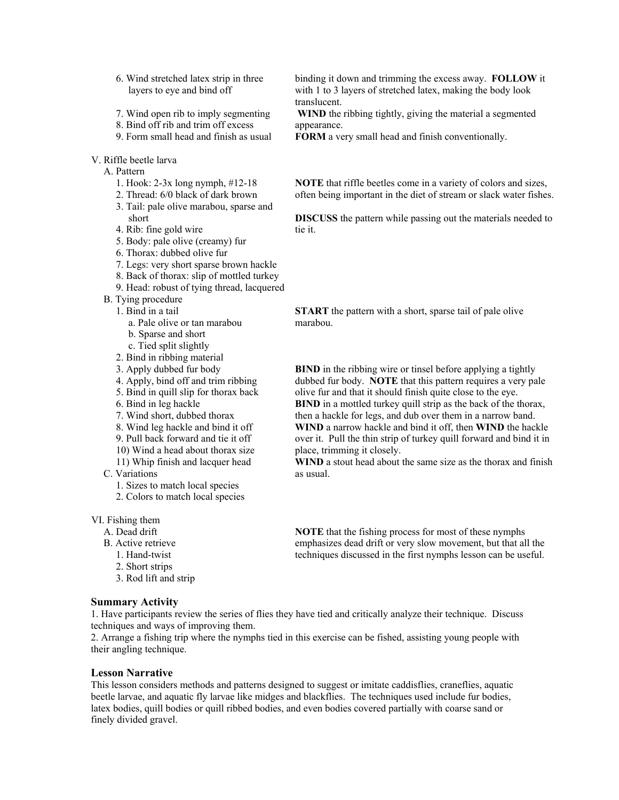- 6. Wind stretched latex strip in three layers to eye and bind off
- 7. Wind open rib to imply segmenting
- 8. Bind off rib and trim off excess
- 9. Form small head and finish as usual
- V. Riffle beetle larva
	- A. Pattern
		- 1. Hook: 2-3x long nymph, #12-18
		- 2. Thread: 6/0 black of dark brown
		- 3. Tail: pale olive marabou, sparse and short
		- 4. Rib: fine gold wire
		- 5. Body: pale olive (creamy) fur
		- 6. Thorax: dubbed olive fur
		- 7. Legs: very short sparse brown hackle
		- 8. Back of thorax: slip of mottled turkey
		- 9. Head: robust of tying thread, lacquered
	- B. Tying procedure
	- 1. Bind in a tail
		- a. Pale olive or tan marabou
		- b. Sparse and short
		- c. Tied split slightly
		- 2. Bind in ribbing material
		- 3. Apply dubbed fur body
		- 4. Apply, bind off and trim ribbing
		- 5. Bind in quill slip for thorax back
		- 6. Bind in leg hackle
		- 7. Wind short, dubbed thorax
		- 8. Wind leg hackle and bind it off
		- 9. Pull back forward and tie it off
		- 10) Wind a head about thorax size
		- 11) Whip finish and lacquer head
	- C. Variations
		- 1. Sizes to match local species
		- 2. Colors to match local species

VI. Fishing them

- A. Dead drift
- B. Active retrieve
	- 1. Hand-twist
	- 2. Short strips
	- 3. Rod lift and strip

# **Summary Activity**

binding it down and trimming the excess away. **FOLLOW** it with 1 to 3 layers of stretched latex, making the body look translucent.

**WIND** the ribbing tightly, giving the material a segmented appearance.

**FORM** a very small head and finish conventionally.

**NOTE** that riffle beetles come in a variety of colors and sizes, often being important in the diet of stream or slack water fishes.

**DISCUSS** the pattern while passing out the materials needed to tie it.

**START** the pattern with a short, sparse tail of pale olive marabou.

**BIND** in the ribbing wire or tinsel before applying a tightly dubbed fur body. **NOTE** that this pattern requires a very pale olive fur and that it should finish quite close to the eye. **BIND** in a mottled turkey quill strip as the back of the thorax, then a hackle for legs, and dub over them in a narrow band. **WIND** a narrow hackle and bind it off, then **WIND** the hackle over it. Pull the thin strip of turkey quill forward and bind it in place, trimming it closely.

**WIND** a stout head about the same size as the thorax and finish as usual.

**NOTE** that the fishing process for most of these nymphs emphasizes dead drift or very slow movement, but that all the techniques discussed in the first nymphs lesson can be useful.

1. Have participants review the series of flies they have tied and critically analyze their technique. Discuss techniques and ways of improving them.

2. Arrange a fishing trip where the nymphs tied in this exercise can be fished, assisting young people with their angling technique.

## **Lesson Narrative**

This lesson considers methods and patterns designed to suggest or imitate caddisflies, craneflies, aquatic beetle larvae, and aquatic fly larvae like midges and blackflies. The techniques used include fur bodies, latex bodies, quill bodies or quill ribbed bodies, and even bodies covered partially with coarse sand or finely divided gravel.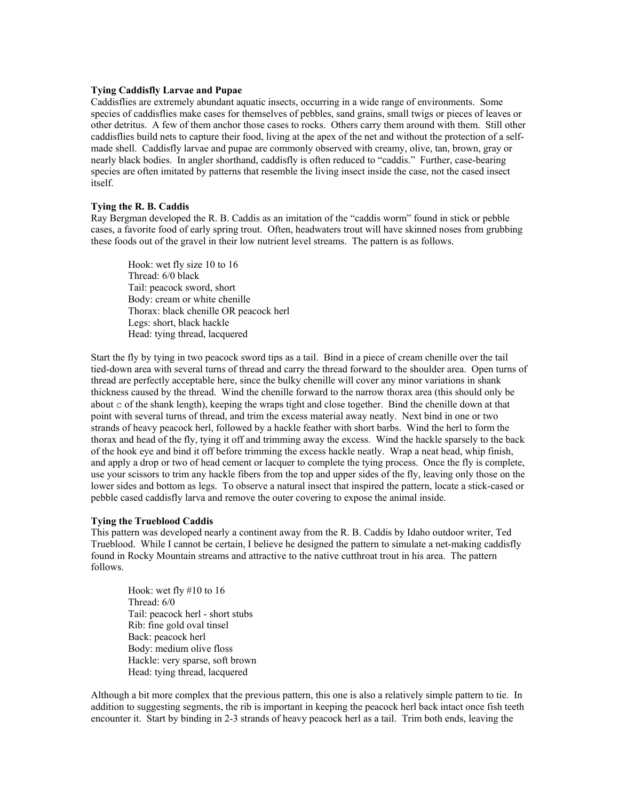#### **Tying Caddisfly Larvae and Pupae**

Caddisflies are extremely abundant aquatic insects, occurring in a wide range of environments. Some species of caddisflies make cases for themselves of pebbles, sand grains, small twigs or pieces of leaves or other detritus. A few of them anchor those cases to rocks. Others carry them around with them. Still other caddisflies build nets to capture their food, living at the apex of the net and without the protection of a selfmade shell. Caddisfly larvae and pupae are commonly observed with creamy, olive, tan, brown, gray or nearly black bodies. In angler shorthand, caddisfly is often reduced to "caddis." Further, case-bearing species are often imitated by patterns that resemble the living insect inside the case, not the cased insect itself.

### **Tying the R. B. Caddis**

Ray Bergman developed the R. B. Caddis as an imitation of the "caddis worm" found in stick or pebble cases, a favorite food of early spring trout. Often, headwaters trout will have skinned noses from grubbing these foods out of the gravel in their low nutrient level streams. The pattern is as follows.

Hook: wet fly size 10 to 16 Thread: 6/0 black Tail: peacock sword, short Body: cream or white chenille Thorax: black chenille OR peacock herl Legs: short, black hackle Head: tying thread, lacquered

Start the fly by tying in two peacock sword tips as a tail. Bind in a piece of cream chenille over the tail tied-down area with several turns of thread and carry the thread forward to the shoulder area. Open turns of thread are perfectly acceptable here, since the bulky chenille will cover any minor variations in shank thickness caused by the thread. Wind the chenille forward to the narrow thorax area (this should only be about c of the shank length), keeping the wraps tight and close together. Bind the chenille down at that point with several turns of thread, and trim the excess material away neatly. Next bind in one or two strands of heavy peacock herl, followed by a hackle feather with short barbs. Wind the herl to form the thorax and head of the fly, tying it off and trimming away the excess. Wind the hackle sparsely to the back of the hook eye and bind it off before trimming the excess hackle neatly. Wrap a neat head, whip finish, and apply a drop or two of head cement or lacquer to complete the tying process. Once the fly is complete, use your scissors to trim any hackle fibers from the top and upper sides of the fly, leaving only those on the lower sides and bottom as legs. To observe a natural insect that inspired the pattern, locate a stick-cased or pebble cased caddisfly larva and remove the outer covering to expose the animal inside.

#### **Tying the Trueblood Caddis**

This pattern was developed nearly a continent away from the R. B. Caddis by Idaho outdoor writer, Ted Trueblood. While I cannot be certain, I believe he designed the pattern to simulate a net-making caddisfly found in Rocky Mountain streams and attractive to the native cutthroat trout in his area. The pattern follows.

Hook: wet fly #10 to 16 Thread: 6/0 Tail: peacock herl - short stubs Rib: fine gold oval tinsel Back: peacock herl Body: medium olive floss Hackle: very sparse, soft brown Head: tying thread, lacquered

Although a bit more complex that the previous pattern, this one is also a relatively simple pattern to tie. In addition to suggesting segments, the rib is important in keeping the peacock herl back intact once fish teeth encounter it. Start by binding in 2-3 strands of heavy peacock herl as a tail. Trim both ends, leaving the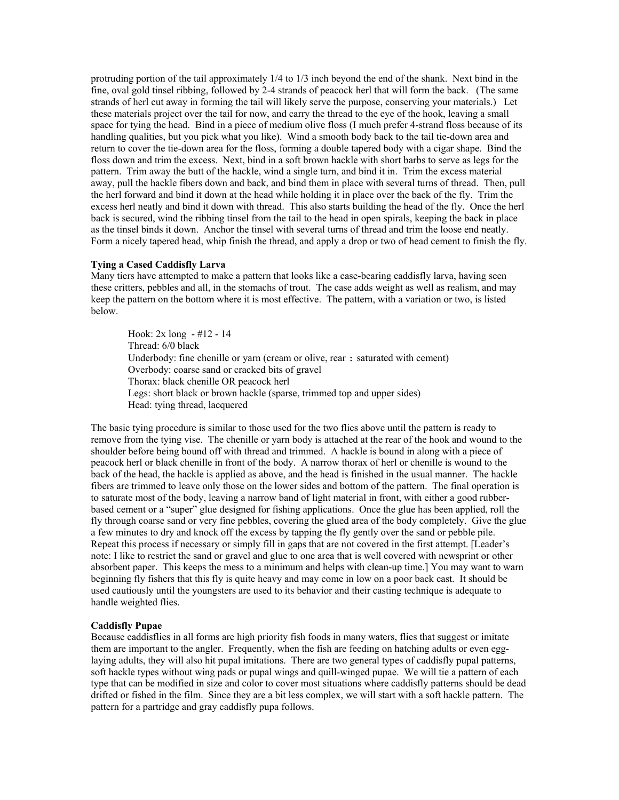protruding portion of the tail approximately 1/4 to 1/3 inch beyond the end of the shank. Next bind in the fine, oval gold tinsel ribbing, followed by 2-4 strands of peacock herl that will form the back. (The same strands of herl cut away in forming the tail will likely serve the purpose, conserving your materials.) Let these materials project over the tail for now, and carry the thread to the eye of the hook, leaving a small space for tying the head. Bind in a piece of medium olive floss (I much prefer 4-strand floss because of its handling qualities, but you pick what you like). Wind a smooth body back to the tail tie-down area and return to cover the tie-down area for the floss, forming a double tapered body with a cigar shape. Bind the floss down and trim the excess. Next, bind in a soft brown hackle with short barbs to serve as legs for the pattern. Trim away the butt of the hackle, wind a single turn, and bind it in. Trim the excess material away, pull the hackle fibers down and back, and bind them in place with several turns of thread. Then, pull the herl forward and bind it down at the head while holding it in place over the back of the fly. Trim the excess herl neatly and bind it down with thread. This also starts building the head of the fly. Once the herl back is secured, wind the ribbing tinsel from the tail to the head in open spirals, keeping the back in place as the tinsel binds it down. Anchor the tinsel with several turns of thread and trim the loose end neatly. Form a nicely tapered head, whip finish the thread, and apply a drop or two of head cement to finish the fly.

# **Tying a Cased Caddisfly Larva**

Many tiers have attempted to make a pattern that looks like a case-bearing caddisfly larva, having seen these critters, pebbles and all, in the stomachs of trout. The case adds weight as well as realism, and may keep the pattern on the bottom where it is most effective. The pattern, with a variation or two, is listed below.

Hook: 2x long - #12 - 14 Thread: 6/0 black Underbody: fine chenille or yarn (cream or olive, rear : saturated with cement) Overbody: coarse sand or cracked bits of gravel Thorax: black chenille OR peacock herl Legs: short black or brown hackle (sparse, trimmed top and upper sides) Head: tying thread, lacquered

The basic tying procedure is similar to those used for the two flies above until the pattern is ready to remove from the tying vise. The chenille or yarn body is attached at the rear of the hook and wound to the shoulder before being bound off with thread and trimmed. A hackle is bound in along with a piece of peacock herl or black chenille in front of the body. A narrow thorax of herl or chenille is wound to the back of the head, the hackle is applied as above, and the head is finished in the usual manner. The hackle fibers are trimmed to leave only those on the lower sides and bottom of the pattern. The final operation is to saturate most of the body, leaving a narrow band of light material in front, with either a good rubberbased cement or a "super" glue designed for fishing applications. Once the glue has been applied, roll the fly through coarse sand or very fine pebbles, covering the glued area of the body completely. Give the glue a few minutes to dry and knock off the excess by tapping the fly gently over the sand or pebble pile. Repeat this process if necessary or simply fill in gaps that are not covered in the first attempt. [Leader's note: I like to restrict the sand or gravel and glue to one area that is well covered with newsprint or other absorbent paper. This keeps the mess to a minimum and helps with clean-up time.] You may want to warn beginning fly fishers that this fly is quite heavy and may come in low on a poor back cast. It should be used cautiously until the youngsters are used to its behavior and their casting technique is adequate to handle weighted flies.

#### **Caddisfly Pupae**

Because caddisflies in all forms are high priority fish foods in many waters, flies that suggest or imitate them are important to the angler. Frequently, when the fish are feeding on hatching adults or even egglaying adults, they will also hit pupal imitations. There are two general types of caddisfly pupal patterns, soft hackle types without wing pads or pupal wings and quill-winged pupae. We will tie a pattern of each type that can be modified in size and color to cover most situations where caddisfly patterns should be dead drifted or fished in the film. Since they are a bit less complex, we will start with a soft hackle pattern. The pattern for a partridge and gray caddisfly pupa follows.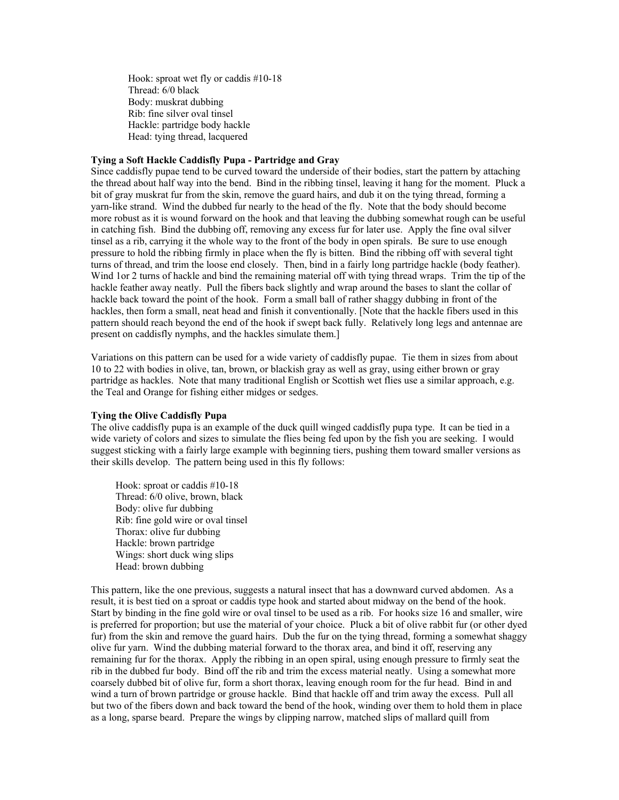Hook: sproat wet fly or caddis #10-18 Thread: 6/0 black Body: muskrat dubbing Rib: fine silver oval tinsel Hackle: partridge body hackle Head: tying thread, lacquered

## **Tying a Soft Hackle Caddisfly Pupa - Partridge and Gray**

Since caddisfly pupae tend to be curved toward the underside of their bodies, start the pattern by attaching the thread about half way into the bend. Bind in the ribbing tinsel, leaving it hang for the moment. Pluck a bit of gray muskrat fur from the skin, remove the guard hairs, and dub it on the tying thread, forming a yarn-like strand. Wind the dubbed fur nearly to the head of the fly. Note that the body should become more robust as it is wound forward on the hook and that leaving the dubbing somewhat rough can be useful in catching fish. Bind the dubbing off, removing any excess fur for later use. Apply the fine oval silver tinsel as a rib, carrying it the whole way to the front of the body in open spirals. Be sure to use enough pressure to hold the ribbing firmly in place when the fly is bitten. Bind the ribbing off with several tight turns of thread, and trim the loose end closely. Then, bind in a fairly long partridge hackle (body feather). Wind 1or 2 turns of hackle and bind the remaining material off with tying thread wraps. Trim the tip of the hackle feather away neatly. Pull the fibers back slightly and wrap around the bases to slant the collar of hackle back toward the point of the hook. Form a small ball of rather shaggy dubbing in front of the hackles, then form a small, neat head and finish it conventionally. [Note that the hackle fibers used in this pattern should reach beyond the end of the hook if swept back fully. Relatively long legs and antennae are present on caddisfly nymphs, and the hackles simulate them.]

Variations on this pattern can be used for a wide variety of caddisfly pupae. Tie them in sizes from about 10 to 22 with bodies in olive, tan, brown, or blackish gray as well as gray, using either brown or gray partridge as hackles. Note that many traditional English or Scottish wet flies use a similar approach, e.g. the Teal and Orange for fishing either midges or sedges.

### **Tying the Olive Caddisfly Pupa**

The olive caddisfly pupa is an example of the duck quill winged caddisfly pupa type. It can be tied in a wide variety of colors and sizes to simulate the flies being fed upon by the fish you are seeking. I would suggest sticking with a fairly large example with beginning tiers, pushing them toward smaller versions as their skills develop. The pattern being used in this fly follows:

Hook: sproat or caddis #10-18 Thread: 6/0 olive, brown, black Body: olive fur dubbing Rib: fine gold wire or oval tinsel Thorax: olive fur dubbing Hackle: brown partridge Wings: short duck wing slips Head: brown dubbing

This pattern, like the one previous, suggests a natural insect that has a downward curved abdomen. As a result, it is best tied on a sproat or caddis type hook and started about midway on the bend of the hook. Start by binding in the fine gold wire or oval tinsel to be used as a rib. For hooks size 16 and smaller, wire is preferred for proportion; but use the material of your choice. Pluck a bit of olive rabbit fur (or other dyed fur) from the skin and remove the guard hairs. Dub the fur on the tying thread, forming a somewhat shaggy olive fur yarn. Wind the dubbing material forward to the thorax area, and bind it off, reserving any remaining fur for the thorax. Apply the ribbing in an open spiral, using enough pressure to firmly seat the rib in the dubbed fur body. Bind off the rib and trim the excess material neatly. Using a somewhat more coarsely dubbed bit of olive fur, form a short thorax, leaving enough room for the fur head. Bind in and wind a turn of brown partridge or grouse hackle. Bind that hackle off and trim away the excess. Pull all but two of the fibers down and back toward the bend of the hook, winding over them to hold them in place as a long, sparse beard. Prepare the wings by clipping narrow, matched slips of mallard quill from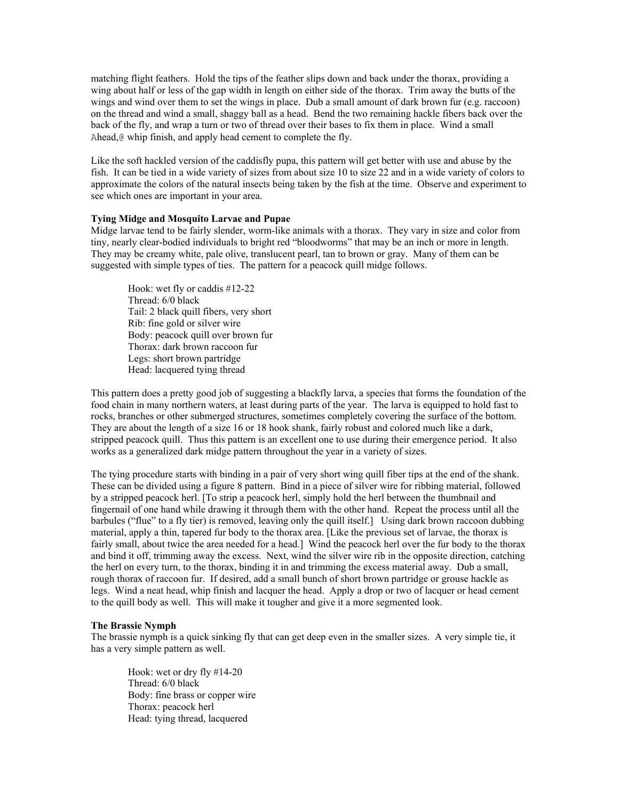matching flight feathers. Hold the tips of the feather slips down and back under the thorax, providing a wing about half or less of the gap width in length on either side of the thorax. Trim away the butts of the wings and wind over them to set the wings in place. Dub a small amount of dark brown fur (e.g. raccoon) on the thread and wind a small, shaggy ball as a head. Bend the two remaining hackle fibers back over the back of the fly, and wrap a turn or two of thread over their bases to fix them in place. Wind a small Ahead,  $\&$  whip finish, and apply head cement to complete the fly.

Like the soft hackled version of the caddisfly pupa, this pattern will get better with use and abuse by the fish. It can be tied in a wide variety of sizes from about size 10 to size 22 and in a wide variety of colors to approximate the colors of the natural insects being taken by the fish at the time. Observe and experiment to see which ones are important in your area.

## **Tying Midge and Mosquito Larvae and Pupae**

Midge larvae tend to be fairly slender, worm-like animals with a thorax. They vary in size and color from tiny, nearly clear-bodied individuals to bright red "bloodworms" that may be an inch or more in length. They may be creamy white, pale olive, translucent pearl, tan to brown or gray. Many of them can be suggested with simple types of ties. The pattern for a peacock quill midge follows.

Hook: wet fly or caddis #12-22 Thread: 6/0 black Tail: 2 black quill fibers, very short Rib: fine gold or silver wire Body: peacock quill over brown fur Thorax: dark brown raccoon fur Legs: short brown partridge Head: lacquered tying thread

This pattern does a pretty good job of suggesting a blackfly larva, a species that forms the foundation of the food chain in many northern waters, at least during parts of the year. The larva is equipped to hold fast to rocks, branches or other submerged structures, sometimes completely covering the surface of the bottom. They are about the length of a size 16 or 18 hook shank, fairly robust and colored much like a dark, stripped peacock quill. Thus this pattern is an excellent one to use during their emergence period. It also works as a generalized dark midge pattern throughout the year in a variety of sizes.

The tying procedure starts with binding in a pair of very short wing quill fiber tips at the end of the shank. These can be divided using a figure 8 pattern. Bind in a piece of silver wire for ribbing material, followed by a stripped peacock herl. [To strip a peacock herl, simply hold the herl between the thumbnail and fingernail of one hand while drawing it through them with the other hand. Repeat the process until all the barbules ("flue" to a fly tier) is removed, leaving only the quill itself.] Using dark brown raccoon dubbing material, apply a thin, tapered fur body to the thorax area. [Like the previous set of larvae, the thorax is fairly small, about twice the area needed for a head.] Wind the peacock herl over the fur body to the thorax and bind it off, trimming away the excess. Next, wind the silver wire rib in the opposite direction, catching the herl on every turn, to the thorax, binding it in and trimming the excess material away. Dub a small, rough thorax of raccoon fur. If desired, add a small bunch of short brown partridge or grouse hackle as legs. Wind a neat head, whip finish and lacquer the head. Apply a drop or two of lacquer or head cement to the quill body as well. This will make it tougher and give it a more segmented look.

### **The Brassie Nymph**

The brassie nymph is a quick sinking fly that can get deep even in the smaller sizes. A very simple tie, it has a very simple pattern as well.

Hook: wet or dry fly #14-20 Thread: 6/0 black Body: fine brass or copper wire Thorax: peacock herl Head: tying thread, lacquered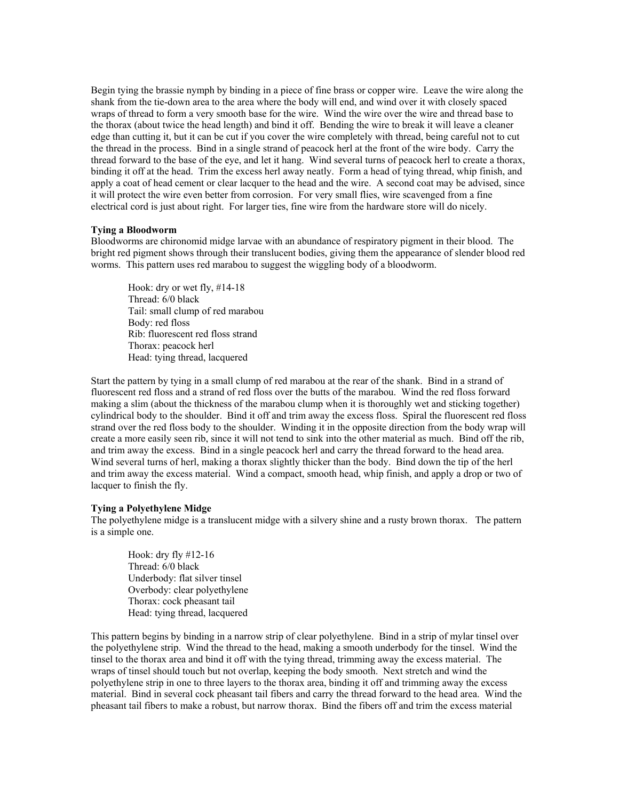Begin tying the brassie nymph by binding in a piece of fine brass or copper wire. Leave the wire along the shank from the tie-down area to the area where the body will end, and wind over it with closely spaced wraps of thread to form a very smooth base for the wire. Wind the wire over the wire and thread base to the thorax (about twice the head length) and bind it off. Bending the wire to break it will leave a cleaner edge than cutting it, but it can be cut if you cover the wire completely with thread, being careful not to cut the thread in the process. Bind in a single strand of peacock herl at the front of the wire body. Carry the thread forward to the base of the eye, and let it hang. Wind several turns of peacock herl to create a thorax, binding it off at the head. Trim the excess herl away neatly. Form a head of tying thread, whip finish, and apply a coat of head cement or clear lacquer to the head and the wire. A second coat may be advised, since it will protect the wire even better from corrosion. For very small flies, wire scavenged from a fine electrical cord is just about right. For larger ties, fine wire from the hardware store will do nicely.

### **Tying a Bloodworm**

Bloodworms are chironomid midge larvae with an abundance of respiratory pigment in their blood. The bright red pigment shows through their translucent bodies, giving them the appearance of slender blood red worms. This pattern uses red marabou to suggest the wiggling body of a bloodworm.

Hook: dry or wet fly, #14-18 Thread: 6/0 black Tail: small clump of red marabou Body: red floss Rib: fluorescent red floss strand Thorax: peacock herl Head: tying thread, lacquered

Start the pattern by tying in a small clump of red marabou at the rear of the shank. Bind in a strand of fluorescent red floss and a strand of red floss over the butts of the marabou. Wind the red floss forward making a slim (about the thickness of the marabou clump when it is thoroughly wet and sticking together) cylindrical body to the shoulder. Bind it off and trim away the excess floss. Spiral the fluorescent red floss strand over the red floss body to the shoulder. Winding it in the opposite direction from the body wrap will create a more easily seen rib, since it will not tend to sink into the other material as much. Bind off the rib, and trim away the excess. Bind in a single peacock herl and carry the thread forward to the head area. Wind several turns of herl, making a thorax slightly thicker than the body. Bind down the tip of the herl and trim away the excess material. Wind a compact, smooth head, whip finish, and apply a drop or two of lacquer to finish the fly.

#### **Tying a Polyethylene Midge**

The polyethylene midge is a translucent midge with a silvery shine and a rusty brown thorax. The pattern is a simple one.

Hook: dry fly #12-16 Thread: 6/0 black Underbody: flat silver tinsel Overbody: clear polyethylene Thorax: cock pheasant tail Head: tying thread, lacquered

This pattern begins by binding in a narrow strip of clear polyethylene. Bind in a strip of mylar tinsel over the polyethylene strip. Wind the thread to the head, making a smooth underbody for the tinsel. Wind the tinsel to the thorax area and bind it off with the tying thread, trimming away the excess material. The wraps of tinsel should touch but not overlap, keeping the body smooth. Next stretch and wind the polyethylene strip in one to three layers to the thorax area, binding it off and trimming away the excess material. Bind in several cock pheasant tail fibers and carry the thread forward to the head area. Wind the pheasant tail fibers to make a robust, but narrow thorax. Bind the fibers off and trim the excess material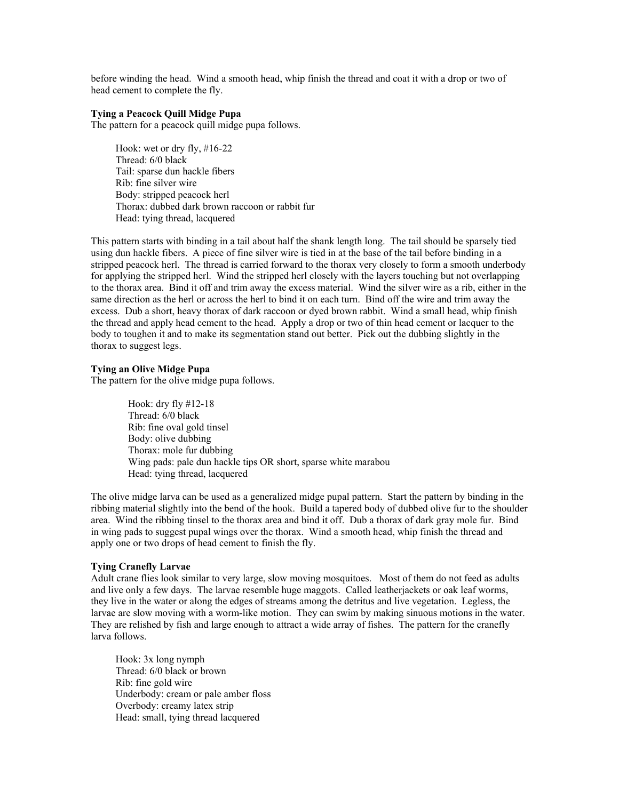before winding the head. Wind a smooth head, whip finish the thread and coat it with a drop or two of head cement to complete the fly.

## **Tying a Peacock Quill Midge Pupa**

The pattern for a peacock quill midge pupa follows.

Hook: wet or dry fly, #16-22 Thread: 6/0 black Tail: sparse dun hackle fibers Rib: fine silver wire Body: stripped peacock herl Thorax: dubbed dark brown raccoon or rabbit fur Head: tying thread, lacquered

This pattern starts with binding in a tail about half the shank length long. The tail should be sparsely tied using dun hackle fibers. A piece of fine silver wire is tied in at the base of the tail before binding in a stripped peacock herl. The thread is carried forward to the thorax very closely to form a smooth underbody for applying the stripped herl. Wind the stripped herl closely with the layers touching but not overlapping to the thorax area. Bind it off and trim away the excess material. Wind the silver wire as a rib, either in the same direction as the herl or across the herl to bind it on each turn. Bind off the wire and trim away the excess. Dub a short, heavy thorax of dark raccoon or dyed brown rabbit. Wind a small head, whip finish the thread and apply head cement to the head. Apply a drop or two of thin head cement or lacquer to the body to toughen it and to make its segmentation stand out better. Pick out the dubbing slightly in the thorax to suggest legs.

## **Tying an Olive Midge Pupa**

The pattern for the olive midge pupa follows.

Hook: dry fly #12-18 Thread: 6/0 black Rib: fine oval gold tinsel Body: olive dubbing Thorax: mole fur dubbing Wing pads: pale dun hackle tips OR short, sparse white marabou Head: tying thread, lacquered

The olive midge larva can be used as a generalized midge pupal pattern. Start the pattern by binding in the ribbing material slightly into the bend of the hook. Build a tapered body of dubbed olive fur to the shoulder area. Wind the ribbing tinsel to the thorax area and bind it off. Dub a thorax of dark gray mole fur. Bind in wing pads to suggest pupal wings over the thorax. Wind a smooth head, whip finish the thread and apply one or two drops of head cement to finish the fly.

## **Tying Cranefly Larvae**

Adult crane flies look similar to very large, slow moving mosquitoes. Most of them do not feed as adults and live only a few days. The larvae resemble huge maggots. Called leatherjackets or oak leaf worms, they live in the water or along the edges of streams among the detritus and live vegetation. Legless, the larvae are slow moving with a worm-like motion. They can swim by making sinuous motions in the water. They are relished by fish and large enough to attract a wide array of fishes. The pattern for the cranefly larva follows.

Hook: 3x long nymph Thread: 6/0 black or brown Rib: fine gold wire Underbody: cream or pale amber floss Overbody: creamy latex strip Head: small, tying thread lacquered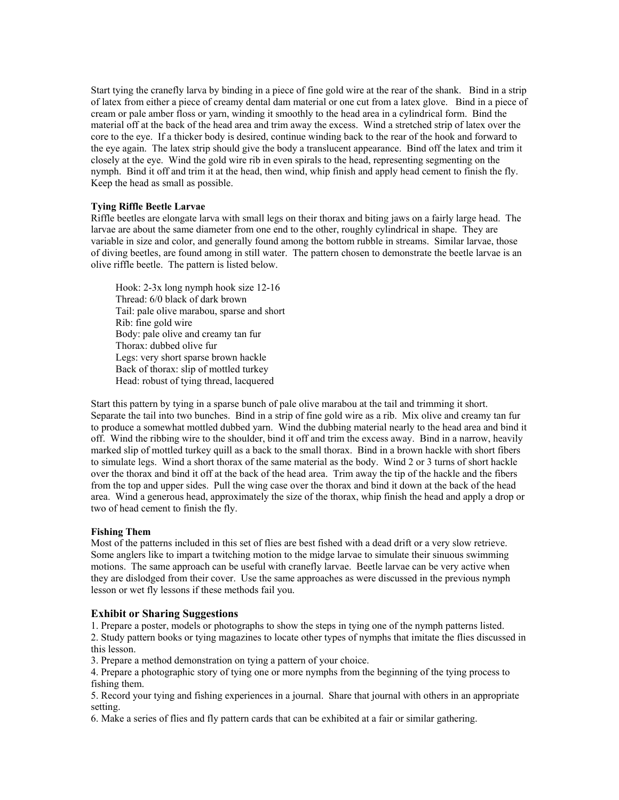Start tying the cranefly larva by binding in a piece of fine gold wire at the rear of the shank. Bind in a strip of latex from either a piece of creamy dental dam material or one cut from a latex glove. Bind in a piece of cream or pale amber floss or yarn, winding it smoothly to the head area in a cylindrical form. Bind the material off at the back of the head area and trim away the excess. Wind a stretched strip of latex over the core to the eye. If a thicker body is desired, continue winding back to the rear of the hook and forward to the eye again. The latex strip should give the body a translucent appearance. Bind off the latex and trim it closely at the eye. Wind the gold wire rib in even spirals to the head, representing segmenting on the nymph. Bind it off and trim it at the head, then wind, whip finish and apply head cement to finish the fly. Keep the head as small as possible.

## **Tying Riffle Beetle Larvae**

Riffle beetles are elongate larva with small legs on their thorax and biting jaws on a fairly large head. The larvae are about the same diameter from one end to the other, roughly cylindrical in shape. They are variable in size and color, and generally found among the bottom rubble in streams. Similar larvae, those of diving beetles, are found among in still water. The pattern chosen to demonstrate the beetle larvae is an olive riffle beetle. The pattern is listed below.

Hook: 2-3x long nymph hook size 12-16 Thread: 6/0 black of dark brown Tail: pale olive marabou, sparse and short Rib: fine gold wire Body: pale olive and creamy tan fur Thorax: dubbed olive fur Legs: very short sparse brown hackle Back of thorax: slip of mottled turkey Head: robust of tying thread, lacquered

Start this pattern by tying in a sparse bunch of pale olive marabou at the tail and trimming it short. Separate the tail into two bunches. Bind in a strip of fine gold wire as a rib. Mix olive and creamy tan fur to produce a somewhat mottled dubbed yarn. Wind the dubbing material nearly to the head area and bind it off. Wind the ribbing wire to the shoulder, bind it off and trim the excess away. Bind in a narrow, heavily marked slip of mottled turkey quill as a back to the small thorax. Bind in a brown hackle with short fibers to simulate legs. Wind a short thorax of the same material as the body. Wind 2 or 3 turns of short hackle over the thorax and bind it off at the back of the head area. Trim away the tip of the hackle and the fibers from the top and upper sides. Pull the wing case over the thorax and bind it down at the back of the head area. Wind a generous head, approximately the size of the thorax, whip finish the head and apply a drop or two of head cement to finish the fly.

### **Fishing Them**

Most of the patterns included in this set of flies are best fished with a dead drift or a very slow retrieve. Some anglers like to impart a twitching motion to the midge larvae to simulate their sinuous swimming motions. The same approach can be useful with cranefly larvae. Beetle larvae can be very active when they are dislodged from their cover. Use the same approaches as were discussed in the previous nymph lesson or wet fly lessons if these methods fail you.

## **Exhibit or Sharing Suggestions**

1. Prepare a poster, models or photographs to show the steps in tying one of the nymph patterns listed.

2. Study pattern books or tying magazines to locate other types of nymphs that imitate the flies discussed in this lesson.

3. Prepare a method demonstration on tying a pattern of your choice.

4. Prepare a photographic story of tying one or more nymphs from the beginning of the tying process to fishing them.

5. Record your tying and fishing experiences in a journal. Share that journal with others in an appropriate setting.

6. Make a series of flies and fly pattern cards that can be exhibited at a fair or similar gathering.